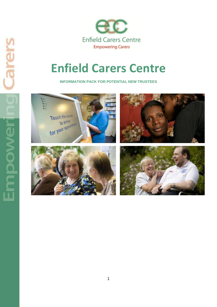

# **Enfield Carers Centre**

**INFORMATION PACK FOR POTENTIAL NEW TRUSTEES**

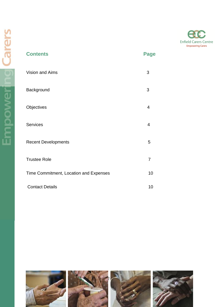

| <b>Contents</b>                        | <b>Page</b>    |  |
|----------------------------------------|----------------|--|
| Vision and Aims                        | $\mathfrak{S}$ |  |
| Background                             | 3              |  |
| Objectives                             | $\overline{4}$ |  |
| Services                               | 4              |  |
| <b>Recent Developments</b>             | 5              |  |
| <b>Trustee Role</b>                    | $\overline{7}$ |  |
| Time Commitment, Location and Expenses | 10             |  |
| <b>Contact Details</b>                 | 10             |  |

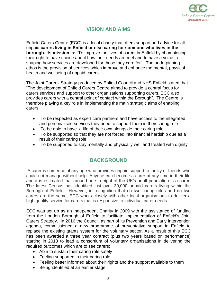

# **VISION AND AIMS**

Enfield Carers Centre (ECC) is a local charity that offers support and advice for all unpaid **carers living in Enfield or else caring for someone who lives in the borough. Its mission is:** "To improve the lives of carers in Enfield by championing their right to have choice about how their needs are met and to have a voice in shaping how services are developed for those they care for". The underpinning ethos is the provision of services which improve and enhance the mental, physical health and wellbeing of unpaid carers.

The Joint Carers' Strategy produced by Enfield Council and NHS Enfield stated that "The development of Enfield Carers Centre aimed to provide a central focus for carers services and support to other organisations supporting carers. ECC also provides carers with a central point of contact within the Borough". The Centre is therefore playing a key role in implementing the main strategic aims of enabling carers:

- To be respected as expert care partners and have access to the integrated and personalised services they need to support them in their caring role
- To be able to have a life of their own alongside their caring role
- To be supported so that they are not forced into financial hardship due as a result of their caring role
- To be supported to stay mentally and physically well and treated with dignity

#### **BACKGROUND**

A carer is someone of any age who provides unpaid support to family or friends who could not manage without help. Anyone can become a carer at any time in their life and it is estimated that around one in eight of the UK's adult population is a carer. The latest Census has identified just over 30,000 unpaid carers living within the Borough of Enfield. However, in recognition that no two caring roles and no two carers are the same, ECC works closely with other local organisations to deliver a high quality service for carers that is responsive to individual carer needs.

ECC was set up as an independent Charity in 2009 with the assistance of funding from the London Borough of Enfield to facilitate implementation of Enfield's Joint Carers Strategy. In 2016 the Council, as part of its Prevention and Early Intervention agenda, commissioned a new programme of preventative support in Enfield to replace the existing grants system for the voluntary sector. As a result of this ECC has been awarded a three year contract (plus two years based on performance) starting in 2018 to lead a consortium of voluntary organisations in delivering the required outcomes which are to see carers:

- Able to sustain their caring role safely
- Feeling supported in their caring role
- Feeling better informed about their rights and the support available to them
- Being identified at an earlier stage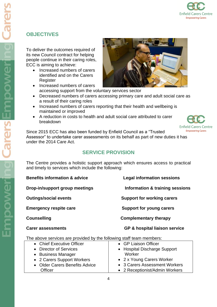# **OBJECTIVES**

To deliver the outcomes required of its new Council contract for helping people continue in their caring roles, ECC is aiming to achieve:

- Increased numbers of carers identified and on the Carers **Register**
- Increased numbers of carers accessing support from the voluntary services sector
- Decreased numbers of carers accessing primary care and adult social care as a result of their caring roles
- Increased numbers of carers reporting that their health and wellbeing is maintained or improved
- A reduction in costs to health and adult social care attributed to carer breakdown



Since 2015 ECC has also been funded by Enfield Council as a "Trusted Assessor" to undertake carer assessments on its behalf as part of new duties it has under the 2014 Care Act.

# **SERVICE PROVISION**

The Centre provides a holistic support approach which ensures access to practical and timely to services which include the following:

**Benefits information & advice Legal information sessions**

**Drop-in/support group meetings Information & training sessions** 

**Outings/social events** Support for working carers

**Emergency respite care Support for young carers** 

**Counselling Complementary therapy** 

**Carer assessments GP & hospital liaison service**

The above services are provided by the following staff team members:

| • Chief Executive Officer      | • GP Liaison Officer           |
|--------------------------------|--------------------------------|
| • Director of Services         | • Hospital Discharge Support   |
| • Business Manager             | Worker                         |
| • 2 Carers Support Workers     | • 2 x Young Carers Worker      |
| • Older Carers Benefits Advice | • 3 Carers Assessment Workers  |
| <b>Officer</b>                 | • 2 Receptionist/Admin Workers |

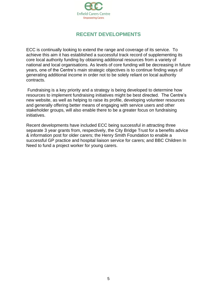

# **RECENT DEVELOPMENTS**

ECC is continually looking to extend the range and coverage of its service. To achieve this aim it has established a successful track record of supplementing its core local authority funding by obtaining additional resources from a variety of national and local organisations. As levels of core funding will be decreasing in future years, one of the Centre's main strategic objectives is to continue finding ways of generating additional income in order not to be solely reliant on local authority contracts.

Fundraising is a key priority and a strategy is being developed to determine how resources to implement fundraising initiatives might be best directed. The Centre's new website, as well as helping to raise its profile, developing volunteer resources and generally offering better means of engaging with service users and other stakeholder groups, will also enable there to be a greater focus on fundraising initiatives.

Recent developments have included ECC being successful in attracting three separate 3 year grants from, respectively, the City Bridge Trust for a benefits advice & information post for older carers; the Henry Smith Foundation to enable a successful GP practice and hospital liaison service for carers; and BBC Children In Need to fund a project worker for young carers.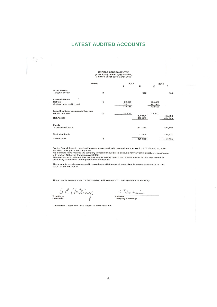#### **LATEST AUDITED ACCOUNTS**

# ENFIELD CARERS CENTRE<br>(A company limited by guarantee)

 $2017$ 

 $2016$ 

| Balance Sheet at 31 March 2017 |  |  |
|--------------------------------|--|--|
|                                |  |  |

Notes

|                                     |    | £         | £       | £         | £       |
|-------------------------------------|----|-----------|---------|-----------|---------|
| <b>Fixed Assets</b>                 |    |           |         |           |         |
| Tangible assets                     | 11 |           | 662     |           | 994     |
| <b>Current Assets</b>               |    |           |         |           |         |
| <b>Debtors</b>                      | 12 | 29,885    |         | 170,537   |         |
| Cash at bank and in hand            |    | 395,251   |         | 261,971   |         |
|                                     |    | 425,136   |         | 432,508   |         |
| Less Creditors: amounts falling due |    |           |         |           |         |
| within one year                     | 13 | (25, 115) | 400,021 | (18, 513) | 413,995 |
| <b>Net Assets</b>                   |    |           | 400,683 |           | 414,989 |
| Funds                               |    |           |         |           |         |
| Unrestricted funds                  |    |           | 313,379 |           | 288,162 |
| <b>Restricted funds</b>             |    |           | 87,304  |           | 126,827 |
| <b>Total Funds</b>                  | 14 |           | 400,683 |           | 414,989 |
|                                     |    |           |         |           |         |

For the financial year in question the company was entitled to exemption under section 477 of the Companies<br>Act 2006 relating to small companies.<br>No members have required the company to obtain an audit of its accounts for

The accounts have been prepared in accordance with the provisions applicable to companies subject to the<br>small companies regime.

The accounts were approved by the board on 6 November 2017 and signed on its behalf by:

5 R (fellings

 $\mathcal{L}_{\infty}$  is

JRaines<br>JRaines<br>Company Secretary

The notes on pages 10 to 15 form part of these accounts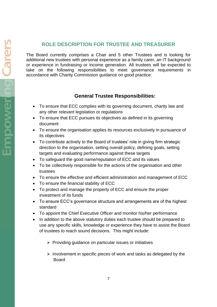# **ROLE DESCRIPTION FOR TRUSTEE AND TREASURER**

The Board currently comprises a Chair and 5 other Trustees and is looking for additional new trustees with personal experience as a family carer, an IT background or experience in fundraising or income generation. All trustees will be expected to take on the following responsibilities to meet governance requirements in accordance with Charity Commission guidance on good practice:

## **General Trustee Responsibilities:**

- To ensure that ECC complies with its governing document, charity law and any other relevant legislation or regulations
- To ensure that ECC pursues its objectives as defined in its governing document
- To ensure the organisation applies its resources exclusively in pursuance of its objectives
- To contribute actively to the Board of trustees' role in giving firm strategic direction to the organisation, setting overall policy, defining goals, setting targets and evaluating performance against these targets
- To safeguard the good name/reputation of ECC and its values
- To be collectively responsible for the actions of the organisation and other trustees
- To ensure the effective and efficient administration and management of ECC
- To ensure the financial stability of ECC
- To protect and manage the property of ECC and ensure the proper investment of its funds
- To ensure ECC's governance structure and arrangements are of the highest standard
- To appoint the Chief Executive Officer and monitor his/her performance
- In addition to the above statutory duties each trustee should be prepared to use any specific skills, knowledge or experience they have to assist the Board of trustees to reach sound decisions. This might include:
	- ➢ Providing guidance on particular issues or initiatives
	- ➢ Involvement in specific pieces of work and tasks as delegated by the Board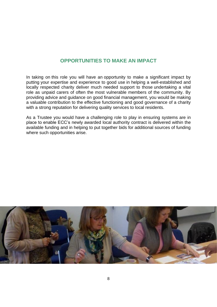## **OPPORTUNITIES TO MAKE AN IMPACT**

In taking on this role you will have an opportunity to make a significant impact by putting your expertise and experience to good use in helping a well-established and locally respected charity deliver much needed support to those undertaking a vital role as unpaid carers of often the most vulnerable members of the community. By providing advice and guidance on good financial management, you would be making a valuable contribution to the effective functioning and good governance of a charity with a strong reputation for delivering quality services to local residents.

As a Trustee you would have a challenging role to play in ensuring systems are in place to enable ECC's newly awarded local authority contract is delivered within the available funding and in helping to put together bids for additional sources of funding where such opportunities arise.